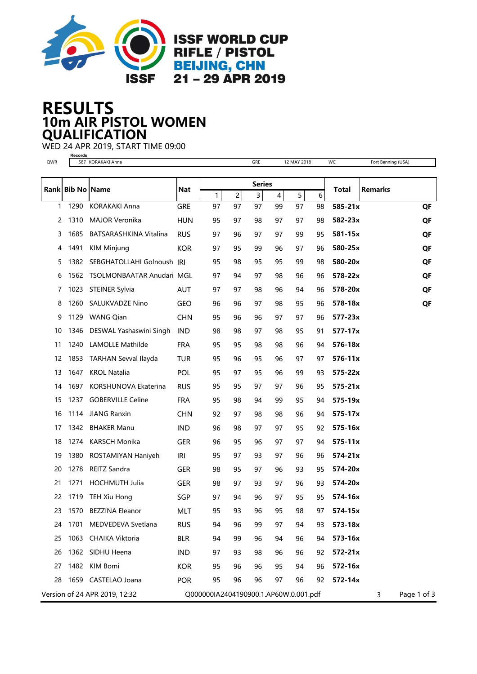

## 10m AIR PISTOL WOMEN RESULTS **QUALIFICATION**

WED 24 APR 2019, START TIME 09:00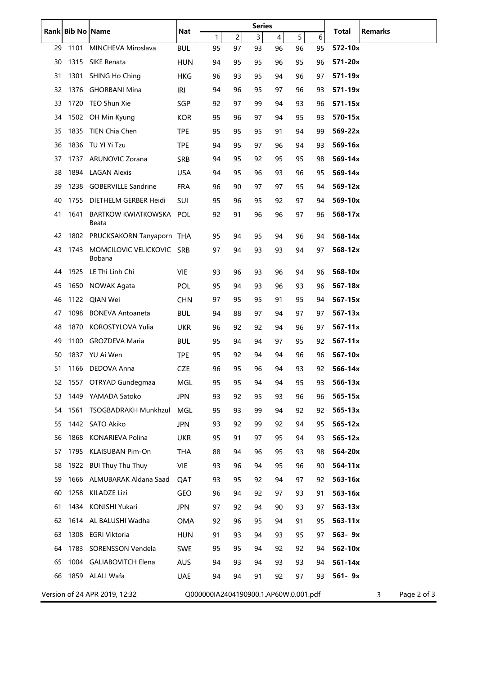|                                                                             | Rank Bib No Name |                                     | Nat        | <b>Series</b> |                |                |    |    | Total       | <b>Remarks</b> |  |
|-----------------------------------------------------------------------------|------------------|-------------------------------------|------------|---------------|----------------|----------------|----|----|-------------|----------------|--|
|                                                                             |                  |                                     |            | $\mathbf{1}$  | $\overline{c}$ | $\overline{3}$ | 4  | 5  | 6           |                |  |
| 29                                                                          | 1101             | MINCHEVA Miroslava                  | <b>BUL</b> | 95            | 97             | 93             | 96 | 96 | 95          | 572-10x        |  |
| 30                                                                          | 1315             | SIKE Renata                         | <b>HUN</b> | 94            | 95             | 95             | 96 | 95 | 96          | 571-20x        |  |
| 31                                                                          | 1301             | <b>SHING Ho Ching</b>               | <b>HKG</b> | 96            | 93             | 95             | 94 | 96 | 97          | 571-19x        |  |
| 32                                                                          | 1376             | <b>GHORBANI Mina</b>                | IRI        | 94            | 96             | 95             | 97 | 96 | 93          | 571-19x        |  |
| 33                                                                          |                  | 1720 TEO Shun Xie                   | SGP        | 92            | 97             | 99             | 94 | 93 | 96          | 571-15x        |  |
| 34                                                                          |                  | 1502 OH Min Kyung                   | <b>KOR</b> | 95            | 96             | 97             | 94 | 95 | 93          | 570-15x        |  |
| 35                                                                          |                  | 1835 TIEN Chia Chen                 | <b>TPE</b> | 95            | 95             | 95             | 91 | 94 | 99          | 569-22x        |  |
| 36                                                                          |                  | 1836 TU YI Yi Tzu                   | <b>TPE</b> | 94            | 95             | 97             | 96 | 94 | 93          | 569-16x        |  |
| 37                                                                          | 1737             | <b>ARUNOVIC Zorana</b>              | SRB        | 94            | 95             | 92             | 95 | 95 | 98          | 569-14x        |  |
| 38                                                                          | 1894             | <b>LAGAN Alexis</b>                 | <b>USA</b> | 94            | 95             | 96             | 93 | 96 | 95          | 569-14x        |  |
| 39                                                                          | 1238             | <b>GOBERVILLE Sandrine</b>          | <b>FRA</b> | 96            | 90             | 97             | 97 | 95 | 94          | 569-12x        |  |
| 40                                                                          | 1755             | DIETHELM GERBER Heidi               | <b>SUI</b> | 95            | 96             | 95             | 92 | 97 | 94          | 569-10x        |  |
| 41                                                                          | 1641             | BARTKOW KWIATKOWSKA POL<br>Beata    |            | 92            | 91             | 96             | 96 | 97 | 96          | 568-17x        |  |
| 42                                                                          | 1802             | PRUCKSAKORN Tanyaporn THA           |            | 95            | 94             | 95             | 94 | 96 | 94          | 568-14x        |  |
| 43                                                                          | 1743             | MOMCILOVIC VELICKOVIC SRB<br>Bobana |            | 97            | 94             | 93             | 93 | 94 | 97          | 568-12x        |  |
| 44                                                                          | 1925             | LE Thi Linh Chi                     | <b>VIE</b> | 93            | 96             | 93             | 96 | 94 | 96          | 568-10x        |  |
| 45                                                                          | 1650             | NOWAK Agata                         | <b>POL</b> | 95            | 94             | 93             | 96 | 93 | 96          | 567-18x        |  |
| 46                                                                          | 1122             | QIAN Wei                            | <b>CHN</b> | 97            | 95             | 95             | 91 | 95 | 94          | 567-15x        |  |
| 47                                                                          | 1098             | <b>BONEVA Antoaneta</b>             | <b>BUL</b> | 94            | 88             | 97             | 94 | 97 | 97          | $567 - 13x$    |  |
| 48                                                                          | 1870             | KOROSTYLOVA Yulia                   | <b>UKR</b> | 96            | 92             | 92             | 94 | 96 | 97          | $567 - 11x$    |  |
| 49                                                                          | 1100             | GROZDEVA Maria                      | <b>BUL</b> | 95            | 94             | 94             | 97 | 95 | 92          | $567 - 11x$    |  |
| 50                                                                          |                  | 1837 YU Ai Wen                      | <b>TPE</b> | 95            | 92             | 94             | 94 | 96 | 96          | 567-10x        |  |
| 51                                                                          | 1166             | DEDOVA Anna                         | <b>CZE</b> | 96            | 95             | 96             | 94 | 93 | 92          | 566-14x        |  |
| 52                                                                          | 1557             | OTRYAD Gundegmaa                    | MGL        | 95            | 95             | 94             | 94 | 95 | 93          | 566-13x        |  |
| 53                                                                          |                  | 1449 YAMADA Satoko                  | <b>JPN</b> | 93            | 92             | 95             | 93 | 96 | 96          | 565-15x        |  |
| 54                                                                          |                  | 1561 TSOGBADRAKH Munkhzul           | MGL        | 95            | 93             | 99             | 94 | 92 | 92          | $565 - 13x$    |  |
| 55                                                                          |                  | 1442 SATO Akiko                     | <b>JPN</b> | 93            | 92             | 99             | 92 | 94 | 95          | $565 - 12x$    |  |
| 56                                                                          | 1868             | <b>KONARIEVA Polina</b>             | <b>UKR</b> | 95            | 91             | 97             | 95 | 94 | 93          | $565 - 12x$    |  |
| 57                                                                          | 1795             | <b>KLAISUBAN Pim-On</b>             | THA        | 88            | 94             | 96             | 95 | 93 | 98          | 564-20x        |  |
| 58                                                                          |                  | 1922 BUI Thuy Thu Thuy              | VIE        | 93            | 96             | 94             | 95 | 96 | 90          | $564 - 11x$    |  |
| 59                                                                          |                  | 1666 ALMUBARAK Aldana Saad          | QAT        | 93            | 95             | 92             | 94 | 97 | 92          | 563-16x        |  |
| 60                                                                          |                  | 1258 KILADZE Lizi                   | GEO        | 96            | 94             | 92             | 97 | 93 | 91          | 563-16x        |  |
| 61                                                                          |                  | 1434 KONISHI Yukari                 | JPN        | 97            | 92             | 94             | 90 | 93 | 97          | $563 - 13x$    |  |
| 62                                                                          |                  | 1614 AL BALUSHI Wadha               | OMA        | 92            | 96             | 95             | 94 | 91 | 95          | $563 - 11x$    |  |
| 63                                                                          |                  | 1308 EGRI Viktoria                  | <b>HUN</b> | 91            | 93             | 94             | 93 | 95 | 97          | 563-9x         |  |
| 64                                                                          |                  | 1783 SORENSSON Vendela              | <b>SWE</b> | 95            | 95             | 94             | 92 | 92 | 94          | 562-10x        |  |
| 65                                                                          |                  | 1004 GALIABOVITCH Elena             | <b>AUS</b> | 94            | 93             | 94             | 93 | 93 | 94          | $561 - 14x$    |  |
| 66                                                                          |                  | 1859 ALALI Wafa                     |            |               | 94             |                | 92 | 97 | 93          | 561-9x         |  |
|                                                                             |                  |                                     | <b>UAE</b> | 94            |                | 91             |    |    |             |                |  |
| Version of 24 APR 2019, 12:32<br>Q000000IA2404190900.1.AP60W.0.001.pdf<br>3 |                  |                                     |            |               |                |                |    |    | Page 2 of 3 |                |  |